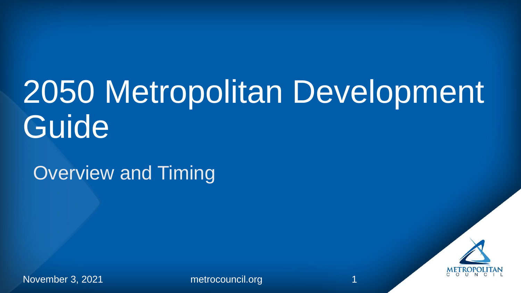## 2050 Metropolitan Development **Guide**

Overview and Timing



November 3, 2021 metrocouncil.org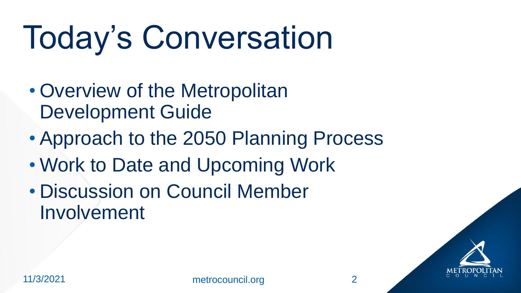# Today's Conversation

- Overview of the Metropolitan Development Guide
- Approach to the 2050 Planning Process
- Work to Date and Upcoming Work
- Discussion on Council Member Involvement

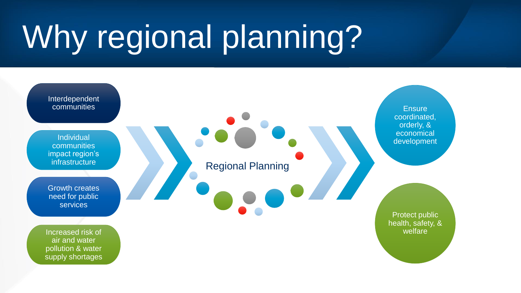# Why regional planning?

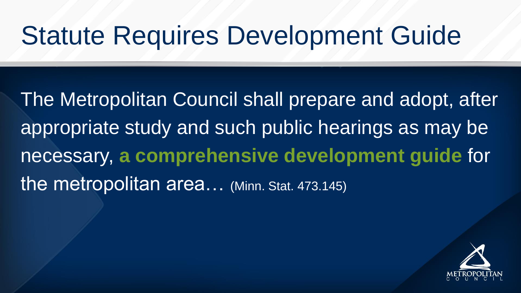### Statute Requires Development Guide

The Metropolitan Council shall prepare and adopt, after appropriate study and such public hearings as may be necessary, **a comprehensive development guide** for the metropolitan area... (Minn. Stat. 473.145)

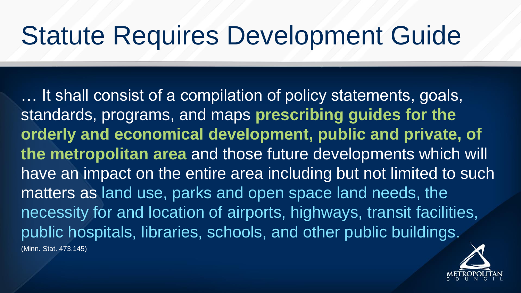### Statute Requires Development Guide

… It shall consist of a compilation of policy statements, goals, standards, programs, and maps **prescribing guides for the orderly and economical development, public and private, of the metropolitan area** and those future developments which will have an impact on the entire area including but not limited to such matters as land use, parks and open space land needs, the necessity for and location of airports, highways, transit facilities, public hospitals, libraries, schools, and other public buildings. (Minn. Stat. 473.145)

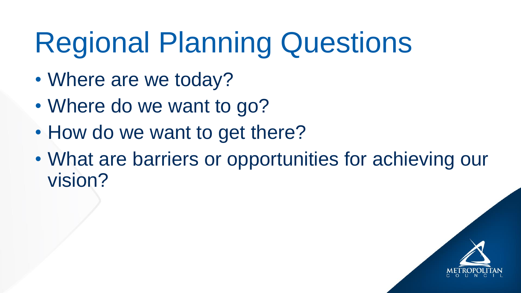## Regional Planning Questions

- Where are we today?
- Where do we want to go?
- How do we want to get there?
- What are barriers or opportunities for achieving our vision?

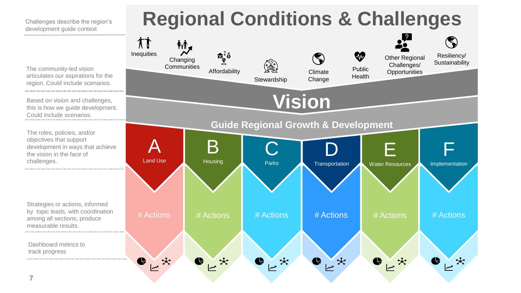



challenges.

measurable results.

track progress

Dashboard metrics to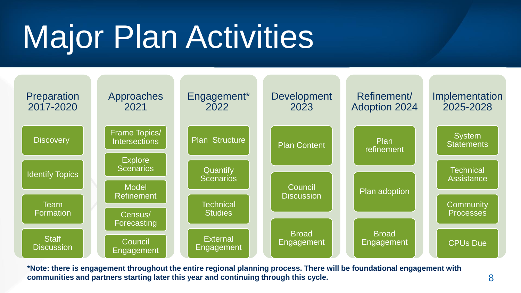# Major Plan Activities



**\*Note: there is engagement throughout the entire regional planning process. There will be foundational engagement with communities and partners starting later this year and continuing through this cycle.**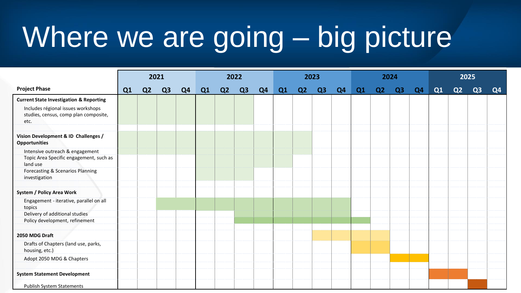### Where we are going – big picture

|                                                                                     | 2021 |                |                |                | 2022 |                |                |                | 2023 |    |    |                | 2024 |                |                |    | 2025 |                |                |                |
|-------------------------------------------------------------------------------------|------|----------------|----------------|----------------|------|----------------|----------------|----------------|------|----|----|----------------|------|----------------|----------------|----|------|----------------|----------------|----------------|
| <b>Project Phase</b>                                                                | Q1   | Q <sub>2</sub> | Q <sub>3</sub> | Q <sub>4</sub> | Q1   | Q <sub>2</sub> | Q <sub>3</sub> | Q <sub>4</sub> | Q1   | Q2 | Q3 | Q <sub>4</sub> | Q1   | Q <sub>2</sub> | Q <sub>3</sub> | Q4 | Q1   | Q <sub>2</sub> | Q <sub>3</sub> | Q <sub>4</sub> |
| <b>Current State Investigation &amp; Reporting</b>                                  |      |                |                |                |      |                |                |                |      |    |    |                |      |                |                |    |      |                |                |                |
| Includes régional issues workshops<br>studies, census, comp plan composite,<br>etc. |      |                |                |                |      |                |                |                |      |    |    |                |      |                |                |    |      |                |                |                |
| Vision Development & ID Challenges /<br><b>Opportunities</b>                        |      |                |                |                |      |                |                |                |      |    |    |                |      |                |                |    |      |                |                |                |
| Intensive outreach & engagement                                                     |      |                |                |                |      |                |                |                |      |    |    |                |      |                |                |    |      |                |                |                |
| Topic Area Specific engagement, such as<br>land use                                 |      |                |                |                |      |                |                |                |      |    |    |                |      |                |                |    |      |                |                |                |
| Forecasting & Scenarios Planning<br>investigation                                   |      |                |                |                |      |                |                |                |      |    |    |                |      |                |                |    |      |                |                |                |
| <b>System / Policy Area Work</b>                                                    |      |                |                |                |      |                |                |                |      |    |    |                |      |                |                |    |      |                |                |                |
| Engagement - iterative, parallel on all<br>topics                                   |      |                |                |                |      |                |                |                |      |    |    |                |      |                |                |    |      |                |                |                |
| Delivery of additional studies                                                      |      |                |                |                |      |                |                |                |      |    |    |                |      |                |                |    |      |                |                |                |
| Policy development, refinement                                                      |      |                |                |                |      |                |                |                |      |    |    |                |      |                |                |    |      |                |                |                |
| 2050 MDG Draft                                                                      |      |                |                |                |      |                |                |                |      |    |    |                |      |                |                |    |      |                |                |                |
| Drafts of Chapters (land use, parks,<br>housing, etc.)                              |      |                |                |                |      |                |                |                |      |    |    |                |      |                |                |    |      |                |                |                |
| Adopt 2050 MDG & Chapters                                                           |      |                |                |                |      |                |                |                |      |    |    |                |      |                |                |    |      |                |                |                |
| <b>System Statement Development</b>                                                 |      |                |                |                |      |                |                |                |      |    |    |                |      |                |                |    |      |                |                |                |
| <b>Publish System Statements</b>                                                    |      |                |                |                |      |                |                |                |      |    |    |                |      |                |                |    |      |                |                |                |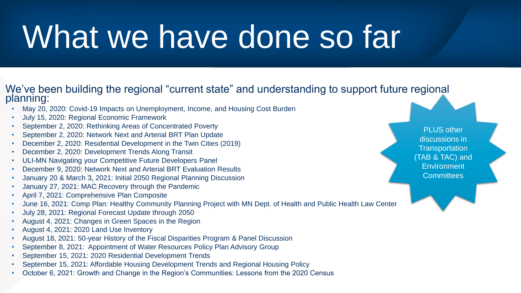## What we have done so far

#### We've been building the regional "current state" and understanding to support future regional planning:

- May 20, 2020: Covid-19 Impacts on Unemployment, Income, and Housing Cost Burden
- July 15, 2020: Regional Economic Framework
- September 2, 2020: Rethinking Areas of Concentrated Poverty
- September 2, 2020: Network Next and Arterial BRT Plan Update
- December 2, 2020: Residential Development in the Twin Cities (2019)
- December 2, 2020: Development Trends Along Transit
- ULI-MN Navigating your Competitive Future Developers Panel
- December 9, 2020: Network Next and Arterial BRT Evaluation Results
- January 20 & March 3, 2021: Initial 2050 Regional Planning Discussion
- January 27, 2021: MAC Recovery through the Pandemic
- April 7, 2021: Comprehensive Plan Composite
- June 16, 2021: Comp Plan: Healthy Community Planning Project with MN Dept. of Health and Public Health Law Center
- July 28, 2021: Regional Forecast Update through 2050
- August 4, 2021: Changes in Green Spaces in the Region
- August 4, 2021: 2020 Land Use Inventory
- August 18, 2021: 50-year History of the Fiscal Disparities Program & Panel Discussion
- September 8, 2021: Appointment of Water Resources Policy Plan Advisory Group
- September 15, 2021: 2020 Residential Development Trends
- September 15, 2021: Affordable Housing Development Trends and Regional Housing Policy
- October 6, 2021: Growth and Change in the Region's Communities: Lessons from the 2020 Census

PLUS other discussions in **Transportation** (TAB & TAC) and **Environment Committees**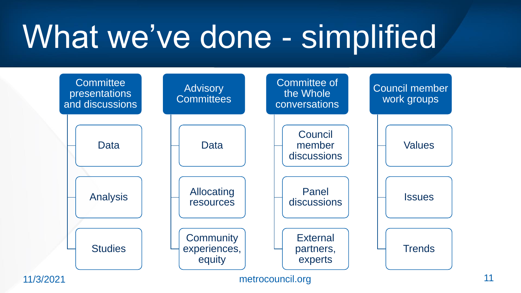## What we've done - simplified

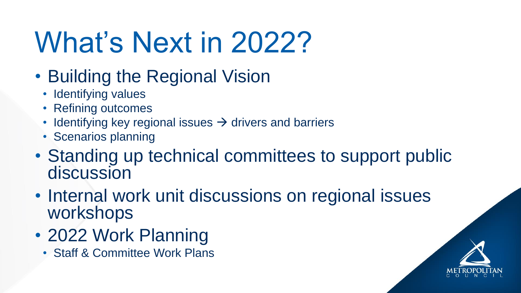### What's Next in 2022?

- Building the Regional Vision
	- Identifying values
	- Refining outcomes
	- Identifying key regional issues  $\rightarrow$  drivers and barriers
	- Scenarios planning
- Standing up technical committees to support public discussion
- Internal work unit discussions on regional issues workshops
- 2022 Work Planning
	- Staff & Committee Work Plans

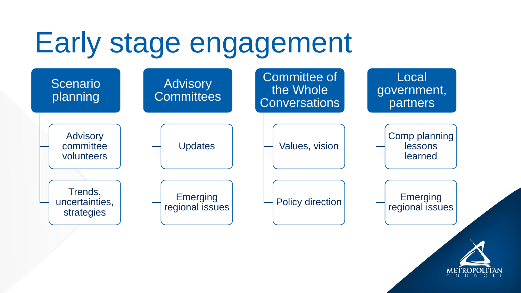### Early stage engagement

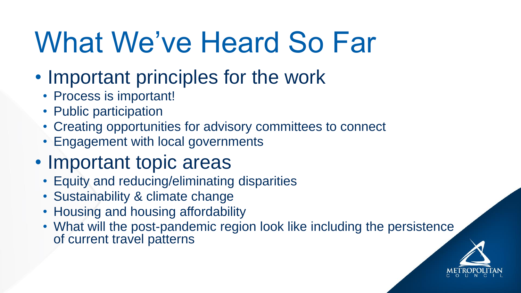### What We've Heard So Far

- Important principles for the work
	- Process is important!
	- Public participation
	- Creating opportunities for advisory committees to connect
	- Engagement with local governments
- Important topic areas
	- Equity and reducing/eliminating disparities
	- Sustainability & climate change
	- Housing and housing affordability
	- What will the post-pandemic region look like including the persistence of current travel patterns

![](_page_13_Picture_11.jpeg)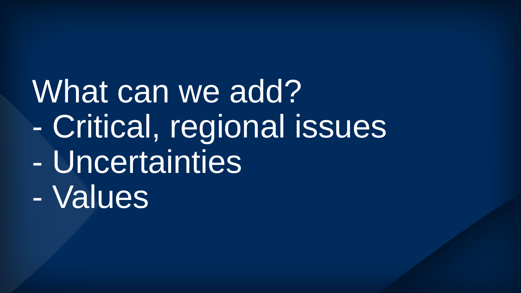What can we add? - Critical, regional issues - Uncertainties - Values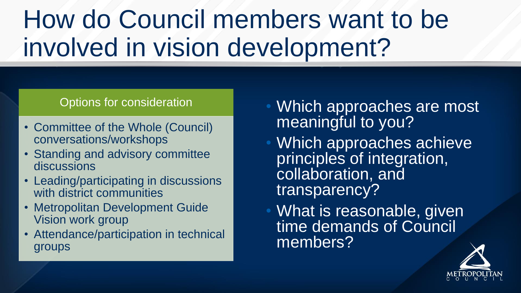### How do Council members want to be involved in vision development?

#### Options for consideration

- Committee of the Whole (Council) conversations/workshops
- Standing and advisory committee discussions
- Leading/participating in discussions with district communities
- Metropolitan Development Guide Vision work group
- Attendance/participation in technical groups
- Which approaches are most meaningful to you?
- Which approaches achieve principles of integration, collaboration, and transparency?
- What is reasonable, given time demands of Council members?

![](_page_15_Picture_10.jpeg)